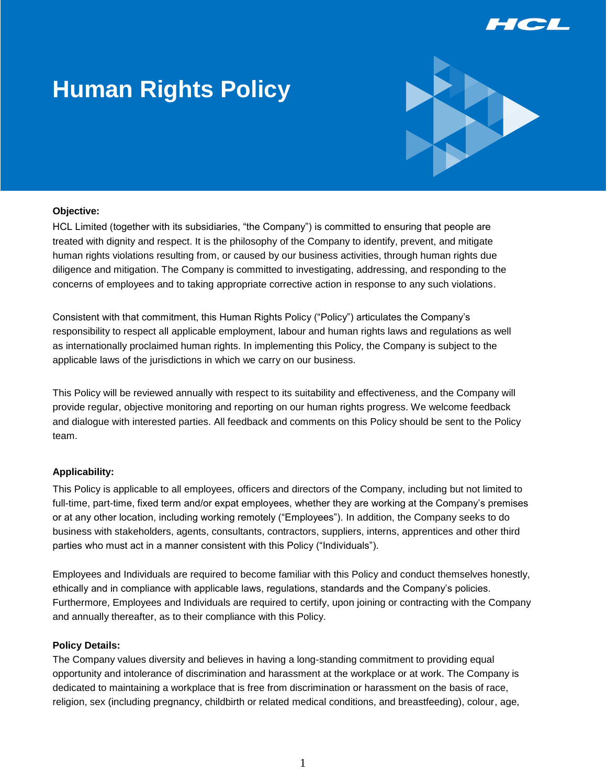

# **Human Rights Policy**



#### **Objective:**

HCL Limited (together with its subsidiaries, "the Company") is committed to ensuring that people are treated with dignity and respect. It is the philosophy of the Company to identify, prevent, and mitigate human rights violations resulting from, or caused by our business activities, through human rights due diligence and mitigation. The Company is committed to investigating, addressing, and responding to the concerns of employees and to taking appropriate corrective action in response to any such violations.

Consistent with that commitment, this Human Rights Policy ("Policy") articulates the Company's responsibility to respect all applicable employment, labour and human rights laws and regulations as well as internationally proclaimed human rights. In implementing this Policy, the Company is subject to the applicable laws of the jurisdictions in which we carry on our business.

This Policy will be reviewed annually with respect to its suitability and effectiveness, and the Company will provide regular, objective monitoring and reporting on our human rights progress. We welcome feedback and dialogue with interested parties. All feedback and comments on this Policy should be sent to the Policy team.

## **Applicability:**

This Policy is applicable to all employees, officers and directors of the Company, including but not limited to full-time, part-time, fixed term and/or expat employees, whether they are working at the Company's premises or at any other location, including working remotely ("Employees"). In addition, the Company seeks to do business with stakeholders, agents, consultants, contractors, suppliers, interns, apprentices and other third parties who must act in a manner consistent with this Policy ("Individuals").

Employees and Individuals are required to become familiar with this Policy and conduct themselves honestly, ethically and in compliance with applicable laws, regulations, standards and the Company's policies. Furthermore, Employees and Individuals are required to certify, upon joining or contracting with the Company and annually thereafter, as to their compliance with this Policy.

#### **Policy Details:**

The Company values diversity and believes in having a long-standing commitment to providing equal opportunity and intolerance of discrimination and harassment at the workplace or at work. The Company is dedicated to maintaining a workplace that is free from discrimination or harassment on the basis of race, religion, sex (including pregnancy, childbirth or related medical conditions, and breastfeeding), colour, age,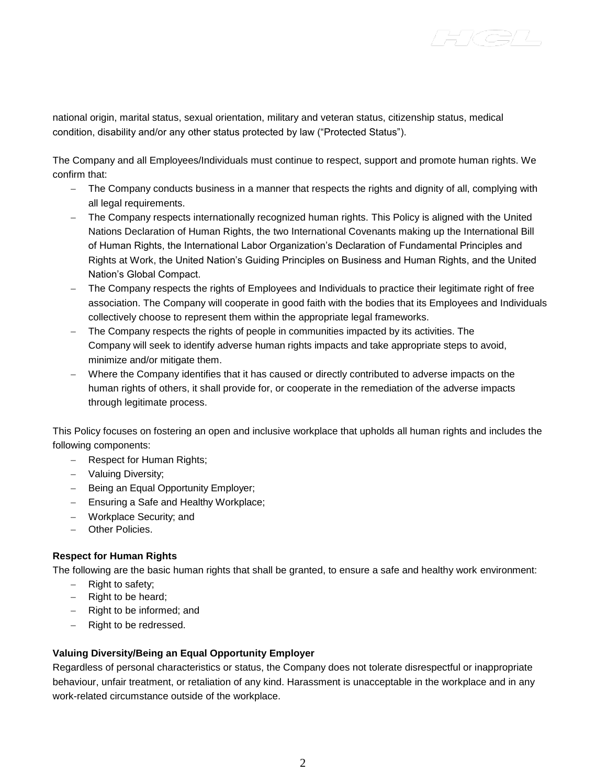national origin, marital status, sexual orientation, military and veteran status, citizenship status, medical condition, disability and/or any other status protected by law ("Protected Status").

The Company and all Employees/Individuals must continue to respect, support and promote human rights. We confirm that:

- The Company conducts business in a manner that respects the rights and dignity of all, complying with all legal requirements.
- The Company respects internationally recognized human rights. This Policy is aligned with the United Nations Declaration of Human Rights, the two International Covenants making up the International Bill of Human Rights, the International Labor Organization's Declaration of Fundamental Principles and Rights at Work, the United Nation's Guiding Principles on Business and Human Rights, and the United Nation's Global Compact.
- The Company respects the rights of Employees and Individuals to practice their legitimate right of free association. The Company will cooperate in good faith with the bodies that its Employees and Individuals collectively choose to represent them within the appropriate legal frameworks.
- The Company respects the rights of people in communities impacted by its activities. The Company will seek to identify adverse human rights impacts and take appropriate steps to avoid, minimize and/or mitigate them.
- Where the Company identifies that it has caused or directly contributed to adverse impacts on the human rights of others, it shall provide for, or cooperate in the remediation of the adverse impacts through legitimate process.

This Policy focuses on fostering an open and inclusive workplace that upholds all human rights and includes the following components:

- Respect for Human Rights;
- Valuing Diversity;
- $-$  Being an Equal Opportunity Employer;
- Ensuring a Safe and Healthy Workplace;
- Workplace Security; and
- Other Policies.

## **Respect for Human Rights**

The following are the basic human rights that shall be granted, to ensure a safe and healthy work environment:

- $-$  Right to safety;
- $-$  Right to be heard;
- Right to be informed; and
- $-$  Right to be redressed.

## **Valuing Diversity/Being an Equal Opportunity Employer**

Regardless of personal characteristics or status, the Company does not tolerate disrespectful or inappropriate behaviour, unfair treatment, or retaliation of any kind. Harassment is unacceptable in the workplace and in any work-related circumstance outside of the workplace.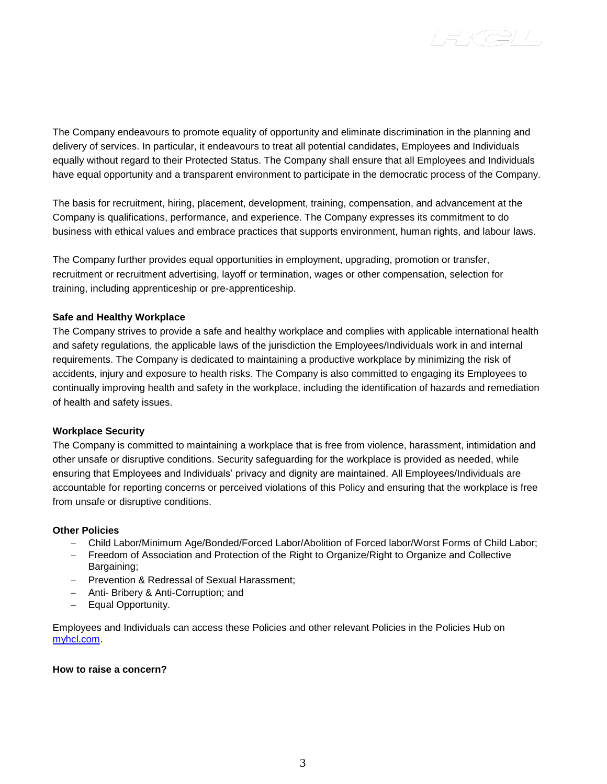The Company endeavours to promote equality of opportunity and eliminate discrimination in the planning and delivery of services. In particular, it endeavours to treat all potential candidates, Employees and Individuals equally without regard to their Protected Status. The Company shall ensure that all Employees and Individuals have equal opportunity and a transparent environment to participate in the democratic process of the Company.

The basis for recruitment, hiring, placement, development, training, compensation, and advancement at the Company is qualifications, performance, and experience. The Company expresses its commitment to do business with ethical values and embrace practices that supports environment, human rights, and labour laws.

The Company further provides equal opportunities in employment, upgrading, promotion or transfer, recruitment or recruitment advertising, layoff or termination, wages or other compensation, selection for training, including apprenticeship or pre-apprenticeship.

## **Safe and Healthy Workplace**

The Company strives to provide a safe and healthy workplace and complies with applicable international health and safety regulations, the applicable laws of the jurisdiction the Employees/Individuals work in and internal requirements. The Company is dedicated to maintaining a productive workplace by minimizing the risk of accidents, injury and exposure to health risks. The Company is also committed to engaging its Employees to continually improving health and safety in the workplace, including the identification of hazards and remediation of health and safety issues.

#### **Workplace Security**

The Company is committed to maintaining a workplace that is free from violence, harassment, intimidation and other unsafe or disruptive conditions. Security safeguarding for the workplace is provided as needed, while ensuring that Employees and Individuals' privacy and dignity are maintained. All Employees/Individuals are accountable for reporting concerns or perceived violations of this Policy and ensuring that the workplace is free from unsafe or disruptive conditions.

#### **Other Policies**

- Child Labor/Minimum Age/Bonded/Forced Labor/Abolition of Forced labor/Worst Forms of Child Labor;
- Freedom of Association and Protection of the Right to Organize/Right to Organize and Collective Bargaining;
- Prevention & Redressal of Sexual Harassment;
- Anti- Bribery & Anti-Corruption; and
- Equal Opportunity.

Employees and Individuals can access these Policies and other relevant Policies in the Policies Hub on [myhcl.com.](http://myhcl.com/)

#### **How to raise a concern?**